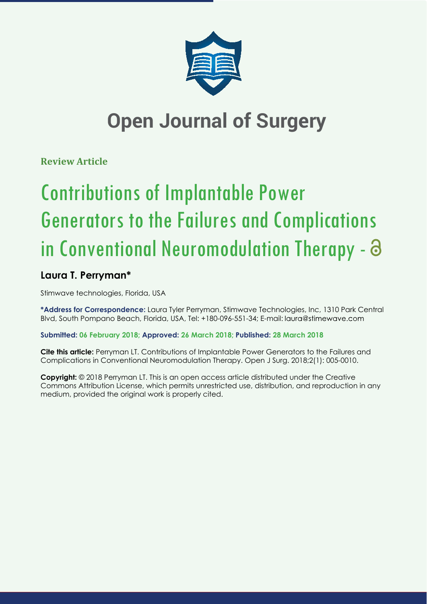

## **Open Journal of Surgery**

**Review Article**

# Contributions of Implantable Power Generators to the Failures and Complications in Conventional Neuromodulation Therapy -

### **Laura T. Perryman\***

Stimwave technologies, Florida, USA

**\*Address for Correspondence:** Laura Tyler Perryman, Stimwave Technologies, Inc, 1310 Park Central Blvd, South Pompano Beach, Florida, USA, Tel: +180-096-551-34; E-mail:

**Submitted: 06 February 2018; Approved: 26 March 2018; Published: 28 March 2018**

**Cite this article:** Perryman LT. Contributions of Implantable Power Generators to the Failures and Complications in Conventional Neuromodulation Therapy. Open J Surg. 2018;2(1): 005-0010.

**Copyright:** © 2018 Perryman LT. This is an open access article distributed under the Creative Commons Attribution License, which permits unrestricted use, distribution, and reproduction in any medium, provided the original work is properly cited.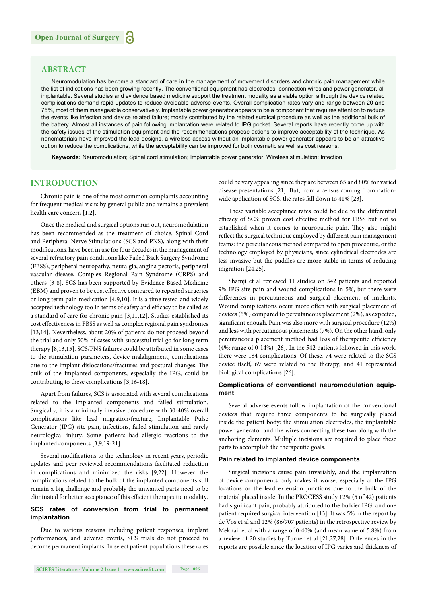#### **ABSTRACT**

Neuromodulation has become a standard of care in the management of movement disorders and chronic pain management while the list of indications has been growing recently. The conventional equipment has electrodes, connection wires and power generator, all implantable. Several studies and evidence based medicine support the treatment modality as a viable option although the device related complications demand rapid updates to reduce avoidable adverse events. Overall complication rates vary and range between 20 and 75%, most of them manageable conservatively. Implantable power generator appears to be a component that requires attention to reduce the events like infection and device related failure; mostly contributed by the related surgical procedure as well as the additional bulk of the battery. Almost all instances of pain following implantation were related to IPG pocket. Several reports have recently come up with the safety issues of the stimulation equipment and the recommendations propose actions to improve acceptability of the technique. As nanomaterials have improved the lead designs, a wireless access without an implantable power generator appears to be an attractive option to reduce the complications, while the acceptability can be improved for both cosmetic as well as cost reasons.

**Keywords:** Neuromodulation; Spinal cord stimulation; Implantable power generator; Wireless stimulation; Infection

#### **INTRODUCTION**

Chronic pain is one of the most common complaints accounting for frequent medical visits by general public and remains a prevalent health care concern [1,2].

Once the medical and surgical options run out, neuromodulation has been recommended as the treatment of choice. Spinal Cord and Peripheral Nerve Stimulations (SCS and PNS), along with their modifications, have been in use for four decades in the management of several refractory pain conditions like Failed Back Surgery Syndrome (FBSS), peripheral neuropathy, neuralgia, angina pectoris, peripheral vascular disease, Complex Regional Pain Syndrome (CRPS) and others [3-8]. SCS has been supported by Evidence Based Medicine (EBM) and proven to be cost effective compared to repeated surgeries or long term pain medication [4,9,10]. It is a time tested and widely accepted technology too in terms of safety and efficacy to be called as a standard of care for chronic pain [3,11,12]. Studies established its cost effectiveness in FBSS as well as complex regional pain syndromes [13,14]. Nevertheless, about 20% of patients do not proceed beyond the trial and only 50% of cases with successful trial go for long term therapy [8,13,15]. SCS/PNS failures could be attributed in some cases to the stimulation parameters, device malalignment, complications due to the implant dislocations/fractures and postural changes. The bulk of the implanted components, especially the IPG, could be contributing to these complications [3,16-18].

Apart from failures, SCS is associated with several complications related to the implanted components and failed stimulation. Surgically, it is a minimally invasive procedure with 30-40% overall complications like lead migration/fracture, Implantable Pulse Generator (IPG) site pain, infections, failed stimulation and rarely neurological injury. Some patients had allergic reactions to the implanted components [3,9,19-21].

Several modifications to the technology in recent years, periodic updates and peer reviewed recommendations facilitated reduction in complications and minimized the risks [9,22]. However, the complications related to the bulk of the implanted components still remain a big challenge and probably the unwanted parts need to be eliminated for better acceptance of this efficient therapeutic modality.

#### **SCS rates of conversion from trial to permanent implantation**

Due to various reasons including patient responses, implant performances, and adverse events, SCS trials do not proceed to become permanent implants. In select patient populations these rates could be very appealing since they are between 65 and 80% for varied disease presentations [21]. But, from a census coming from nationwide application of SCS, the rates fall down to 41% [23].

These variable acceptance rates could be due to the differential efficacy of SCS: proven cost effective method for FBSS but not so established when it comes to neuropathic pain. They also might reflect the surgical technique employed by different pain management teams: the percutaneous method compared to open procedure, or the technology employed by physicians, since cylindrical electrodes are less invasive but the paddles are more stable in terms of reducing migration [24,25].

Shamji et al reviewed 11 studies on 542 patients and reported 9% IPG site pain and wound complications in 5%, but there were differences in percutaneous and surgical placement of implants. Wound complications occur more often with surgical placement of devices (5%) compared to percutaneous placement (2%), as expected, significant enough. Pain was also more with surgical procedure (12%) and less with percutaneous placements (7%). On the other hand, only percutaneous placement method had loss of therapeutic efficiency (4%; range of 0-14%) [26]. In the 542 patients followed in this work, there were 184 complications. Of these, 74 were related to the SCS device itself, 69 were related to the therapy, and 41 represented biological complications [26].

#### **Complications of conventional neuromodulation equipment**

Several adverse events follow implantation of the conventional devices that require three components to be surgically placed inside the patient body: the stimulation electrodes, the implantable power generator and the wires connecting these two along with the anchoring elements. Multiple incisions are required to place these parts to accomplish the therapeutic goals.

#### **Pain related to implanted device components**

Surgical incisions cause pain invariably, and the implantation of device components only makes it worse, especially at the IPG locations or the lead extension junctions due to the bulk of the material placed inside. In the PROCESS study 12% (5 of 42) patients had significant pain, probably attributed to the bulkier IPG, and one patient required surgical intervention [13]. It was 5% in the report by de Vos et al and 12% (86/707 patients) in the retrospective review by Mekhail et al with a range of 0-40% (and mean value of 5.8%) from a review of 20 studies by Turner et al  $[21,27,28]$ . Differences in the reports are possible since the location of IPG varies and thickness of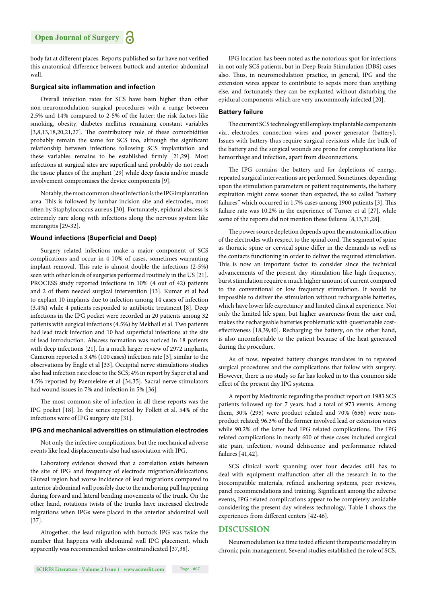body fat at different places. Reports published so far have not verified this anatomical difference between buttock and anterior abdominal wall.

#### **Surgical site inflammation and infection**

Overall infection rates for SCS have been higher than other non-neuromodulation surgical procedures with a range between 2.5% and 14% compared to 2-5% of the latter; the risk factors like smoking, obesity, diabetes mellitus remaining constant variables  $[3,8,13,18,20,21,27]$ . The contributory role of these comorbidities probably remain the same for SCS too, although the significant relationship between infections following SCS implantation and these variables remains to be established firmly  $[21,29]$ . Most infections at surgical sites are superficial and probably do not reach the tissue planes of the implant [29] while deep fascia and/or muscle involvement compromises the device components [9].

Notably, the most common site of infection is the IPG implantation area. This is followed by lumbar incision site and electrodes, most often by Staphylococcus aureus [30]. Fortunately, epidural abscess is extremely rare along with infections along the nervous system like meningitis [29-32].

#### **Wound infections (Superficial and Deep)**

Surgery related infections make a major component of SCS complications and occur in 4-10% of cases, sometimes warranting implant removal. This rate is almost double the infections (2-5%) seen with other kinds of surgeries performed routinely in the US [21]. PROCESS study reported infections in 10% (4 out of 42) patients and 2 of them needed surgical intervention [13]. Kumar et al had to explant 10 implants due to infection among 14 cases of infection (3.4%) while 4 patients responded to antibiotic treatment [8]. Deep infections in the IPG pocket were recorded in 20 patients among 32 patients with surgical infections (4.5%) by Mekhail et al. Two patients had lead track infection and 10 had superficial infections at the site of lead introduction. Abscess formation was noticed in 18 patients with deep infections [21]. In a much larger review of 2972 implants, Cameron reported a 3.4% (100 cases) infection rate [3], similar to the observations by Engle et al [33]. Occipital nerve stimulations studies also had infection rate close to the SCS; 4% in report by Saper et al and 4.5% reported by Paemeleire et al [34,35]. Sacral nerve stimulators had wound issues in 7% and infection in 5% [36].

The most common site of infection in all these reports was the IPG pocket [18]. In the series reported by Follett et al. 54% of the infections were of IPG surgery site [31].

#### **IPG and mechanical adversities on stimulation electrodes**

Not only the infective complications, but the mechanical adverse events like lead displacements also had association with IPG.

Laboratory evidence showed that a correlation exists between the site of IPG and frequency of electrode migration/dislocations. Gluteal region had worse incidence of lead migrations compared to anterior abdominal wall possibly due to the anchoring pull happening during forward and lateral bending movements of the trunk. On the other hand, rotations twists of the trunks have increased electrode migrations when IPGs were placed in the anterior abdominal wall [37].

Altogether, the lead migration with buttock IPG was twice the number that happens with abdominal wall IPG placement, which apparently was recommended unless contraindicated [37,38].

IPG location has been noted as the notorious spot for infections in not only SCS patients, but in Deep Brain Stimulation (DBS) cases also. Thus, in neuromodulation practice, in general, IPG and the extension wires appear to contribute to sepsis more than anything else, and fortunately they can be explanted without disturbing the epidural components which are very uncommonly infected [20].

#### **Battery failure**

The current SCS technology still employs implantable components viz., electrodes, connection wires and power generator (battery). Issues with battery thus require surgical revisions while the bulk of the battery and the surgical wounds are prone for complications like hemorrhage and infection, apart from disconnections.

The IPG contains the battery and for depletions of energy, repeated surgical interventions are performed. Sometimes, depending upon the stimulation parameters or patient requirements, the battery expiration might come sooner than expected, the so called "battery failures" which occurred in 1.7% cases among 1900 patients [3]. This failure rate was 10.2% in the experience of Turner et al [27], while some of the reports did not mention these failures [8,13,21,28].

The power source depletion depends upon the anatomical location of the electrodes with respect to the spinal cord. The segment of spine as thoracic spine or cervical spine differ in the demands as well as the contacts functioning in order to deliver the required stimulation. This is now an important factor to consider since the technical advancements of the present day stimulation like high frequency, burst stimulation require a much higher amount of current compared to the conventional or low frequency stimulation. It would be impossible to deliver the stimulation without rechargeable batteries, which have lower life expectancy and limited clinical experience. Not only the limited life span, but higher awareness from the user end, makes the rechargeable batteries problematic with questionable costeffectiveness [18,39,40]. Recharging the battery, on the other hand, is also uncomfortable to the patient because of the heat generated during the procedure.

As of now, repeated battery changes translates in to repeated surgical procedures and the complications that follow with surgery. However, there is no study so far has looked in to this common side effect of the present day IPG systems.

A report by Medtronic regarding the product report on 1983 SCS patients followed up for 7 years, had a total of 973 events. Among them, 30% (295) were product related and 70% (656) were nonproduct related; 96.3% of the former involved lead or extension wires while 90.2% of the latter had IPG related complications. The IPG related complications in nearly 600 of these cases included surgical site pain, infection, wound dehiscence and performance related failures [41,42].

SCS clinical work spanning over four decades still has to deal with equipment malfunction after all the research in to the biocompatible materials, refined anchoring systems, peer reviews, panel recommendations and training. Significant among the adverse events, IPG related complications appear to be completely avoidable considering the present day wireless technology. Table 1 shows the experiences from different centers [42-46].

#### **DISCUSSION**

Neuromodulation is a time tested efficient therapeutic modality in chronic pain management. Several studies established the role of SCS,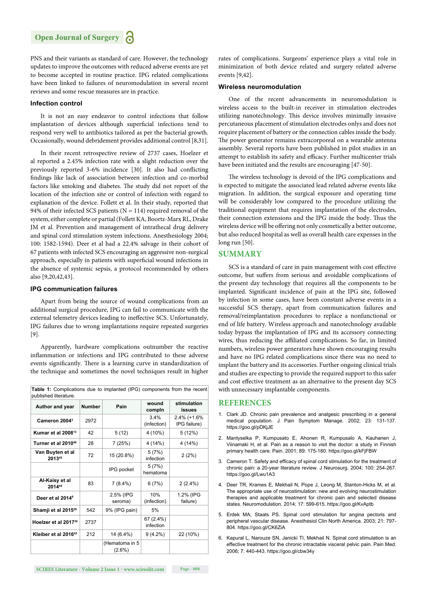PNS and their variants as standard of care. However, the technology updates to improve the outcomes with reduced adverse events are yet to become accepted in routine practice. IPG related complications have been linked to failures of neuromodulation in several recent reviews and some rescue measures are in practice.

#### **Infection control**

It is not an easy endeavor to control infections that follow implantation of devices although superficial infections tend to respond very well to antibiotics tailored as per the bacterial growth. Occasionally, wound debridement provides additional control [8,31].

In their recent retrospective review of 2737 cases, Hoelzer et al reported a 2.45% infection rate with a slight reduction over the previously reported 3-6% incidence [30]. It also had conflicting findings like lack of association between infection and co-morbid factors like smoking and diabetes. The study did not report of the location of the infection site or control of infection with regard to explanation of the device. Follett et al. In their study, reported that 94% of their infected SCS patients ( $N = 114$ ) required removal of the system, either complete or partial (Follett KA, Boortz-Marx RL, Drake JM et al. Prevention and management of intrathecal drug delivery and spinal cord stimulation system infections. Anesthesiology 2004; 100: 1582-1594). Deer et al had a 22.4% salvage in their cohort of 67 patients with infected SCS encouraging an aggressive non-surgical approach, especially in patients with superficial wound infections in the absence of systemic sepsis, a protocol recommended by others also [9,20,42,43].

#### **IPG communication failures**

Apart from being the source of wound complications from an additional surgical procedure, IPG can fail to communicate with the external telemetry devices leading to ineffective SCS. Unfortunately, IPG failures due to wrong implantations require repeated surgeries [9].

Apparently, hardware complications outnumber the reactive inflammation or infections and IPG contributed to these adverse events significantly. There is a learning curve in standardization of the technique and sometimes the novel techniques result in higher

|  | <b>Table 1:</b> Complications due to implanted (IPG) components from the recent |  |  |  |  |
|--|---------------------------------------------------------------------------------|--|--|--|--|
|  | published literature.                                                           |  |  |  |  |

| Author and year                  | <b>Number</b> | Pain                        | wound<br>compln        | stimulation<br>issues       |  |
|----------------------------------|---------------|-----------------------------|------------------------|-----------------------------|--|
| Cameron 2004 <sup>3</sup>        | 2972          |                             | 3.4%<br>(infection)    | 2.4% (+1.6%<br>IPG failure) |  |
| Kumar et al 2008 <sup>13</sup>   | 42            | 5(12)                       | 4 (10%)                | 5(12%)                      |  |
| Turner et al 2010 <sup>46</sup>  | 28            | 7(25%)                      | 4 (14%)                | 4 (14%)                     |  |
| Van Buyten et al<br>201345       | 72            | 15 (20.8%)                  | 5(7%)<br>infection     | 2(2%)                       |  |
|                                  |               | IPG pocket                  | 5(7%)<br>hematoma      |                             |  |
| Al-Kaisy et al<br>201444         | 83            | $7(8.4\%)$                  | 6(7%)                  | $2(2.4\%)$                  |  |
| Deer et al 2014 <sup>9</sup>     |               | 2.5% (IPG<br>seroma)        | 10%<br>(infection)     | 1.2% (IPG<br>failure)       |  |
| Shamji et al 2015 <sup>26</sup>  | 542           | 9% (IPG pain)               | 5%                     |                             |  |
| Hoelzer et al 2017 <sup>30</sup> | 2737          |                             | 67 (2.4%)<br>infection |                             |  |
| Kleiber et al 2016 <sup>43</sup> | 212           | 14 (6.4%)                   | $9(4.2\%)$             | 22 (10%)                    |  |
|                                  |               | (Hematoma in 5<br>$(2.6\%)$ |                        |                             |  |

rates of complications. Surgeons' experience plays a vital role in minimization of both device related and surgery related adverse events [9,42].

#### **Wireless neuromodulation**

One of the recent advancements in neuromodulation is wireless access to the built-in receiver in stimulation electrodes utilizing nanotechnology. This device involves minimally invasive percutaneous placement of stimulation electrodes onlys and does not require placement of battery or the connection cables inside the body. The power generator remains extracorporeal on a wearable antenna assembly. Several reports have been published in pilot studies in an attempt to establish its safety and efficacy. Further multicenter trials have been initiated and the results are encouraging [47-50].

The wireless technology is devoid of the IPG complications and is expected to mitigate the associated lead related adverse events like migration. In addition, the surgical exposure and operating time will be considerably low compared to the procedure utilizing the traditional equipment that requires implantation of the electrodes, their connection extensions and the IPG inside the body. Thus the wireless device will be offering not only cosmetically a better outcome, but also reduced hospital as well as overall health care expenses in the long run [50].

#### **SUMMARY**

SCS is a standard of care in pain management with cost effective outcome, but suffers from serious and avoidable complications of the present day technology that requires all the components to be implanted. Significant incidence of pain at the IPG site, followed by infection in some cases, have been constant adverse events in a successful SCS therapy, apart from communication failures and removal/reimplantation procedures to replace a nonfunctional or end of life battery. Wireless approach and nanotechnology available today bypass the implantation of IPG and its accessory connecting wires, thus reducing the affiliated complications. So far, in limited numbers, wireless power generators have shown encouraging results and have no IPG related complications since there was no need to implant the battery and its accessories. Further ongoing clinical trials and studies are expecting to provide the required support to this safer and cost effective treatment as an alternative to the present day SCS with unnecessary implantable components.

#### **REFERENCES**

- 1. Clark JD. Chronic pain prevalence and analgesic prescribing in a general medical population. J Pain Symptom Manage. 2002; 23: 131-137. https://goo.gl/pDKjJE
- 2. Mantyselka P, Kumpusato E, Ahonen R, Kumpusalo A, Kauhanen J, Viinamaki H, et al. Pain as a reason to visit the doctor: a study in Finnish primary health care. Pain. 2001; 89: 175-180. https://goo.gl/kFjFBW
- 3. Cameron T. Safety and efficacy of spinal cord stimulation for the treatment of chronic pain: a 20-year literature review. J Neurosurg. 2004; 100: 254-267. https://goo.gl/Lwu1A3
- 4. Deer TR, Krames E, Mekhail N, Pope J, Leong M, Stanton-Hicks M, et al. The appropriate use of neurostimulation: new and evolving neurostimulation therapies and applicable treatment for chronic pain and selected disease states. Neuromodulation. 2014; 17: 599-615. https://goo.gl/KvAptb
- 5. Erdek MA, Staats PS. Spinal cord stimulation for angina pectoris and peripheral vascular disease. Anesthesiol Clin North America. 2003; 21: 797- 804. https://goo.gl/CK6ZiA
- 6. Kapural L, Narouze SN, Janicki TI, Mekhail N. Spinal cord stimulation is an effective treatment for the chronic intractable visceral pelvic pain. Pain Med. 2006; 7: 440-443. https://goo.gl/cbw34y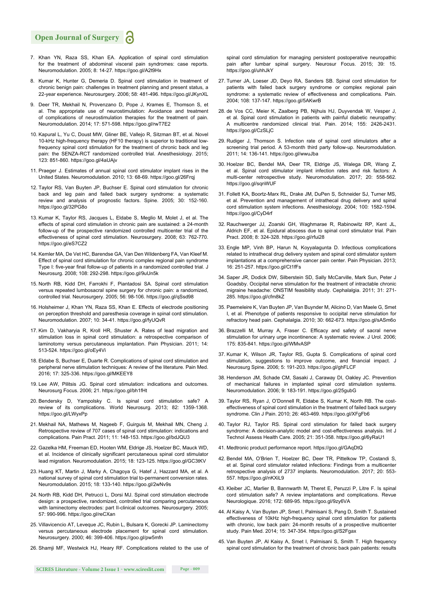#### **Open Journal of Surgery**

- 7. Khan YN, Raza SS, Khan EA. Application of spinal cord stimulation for the treatment of abdominal visceral pain syndromes: case reports. Neuromodulation. 2005; 8: 14-27. https://goo.gl/A2t9Hx
- 8. Kumar K, Hunter G, Demeria D. Spinal cord stimulation in treatment of chronic benign pain: challenges in treatment planning and present status, a 22-year experience. Neurosurgery. 2006; 58: 481-496. https://goo.gl/JKynXL
- 9. Deer TR, Mekhail N, Provenzano D, Pope J, Krames E, Thomson S, et al. The appropriate use of neurostimulation: Avoidance and treatment of complications of neurostimulation therapies for the treatment of pain. Neuromodulation. 2014; 17: 571-598. https://goo.gl/rwT7E2
- 10. Kapural L, Yu C, Doust MW, Gliner BE, Vallejo R, Sitzman BT, et al. Novel 10-kHz high-frequency therapy (HF10 therapy) is superior to traditional lowfrequency spinal cord stimulation for the treatment of chronic back and leg pain: the SENZA-RCT randomized controlled trial. Anesthesiology. 2015; 123: 851-860. https://goo.gl/4aUAjv
- 11. Praeger J. Estimates of annual spinal cord stimulator implant rises in the United States. Neuromodulation. 2010; 13: 68-69. https://goo.gl/26Frqj
- 12. Taylor RS, Van Buyten JP, Buchser E. Spinal cord stimulation for chronic back and leg pain and failed back surgery syndrome: a systematic review and analysis of prognostic factors. Spine. 2005; 30: 152-160. https://goo.gl/32PG8o
- 13. Kumar K, Taylor RS, Jacques L, Eldabe S, Meglio M, Molet J, et al. The effects of spinal cord stimulation in chronic pain are sustained: a 24-month follow-up of the prospective randomized controlled multicenter trial of the effectiveness of spinal cord stimulation. Neurosurgery. 2008; 63: 762-770. https://goo.gl/eS7CZ2
- 14. Kemler MA, De Vet HC, Barendse GA, Van Den Wildenberg FA, Van Kleef M. Effect of spinal cord stimulation for chronic complex regional pain syndrome Type I: five-year final follow-up of patients in a randomized controlled trial. J Neurosurg. 2008; 108: 292-298. https://goo.gl/9uUn5k
- 15. North RB, Kidd DH, Farrokhi F, Piantadosi SA. Spinal cord stimulation versus repeated lumbosacral spine surgery for chronic pain: a randomized, controlled trial. Neurosurgery. 2005; 56: 98-106. https://goo.gl/qSsd98
- 16. Holsheimer J, Khan YN, Raza SS, Khan E. Effects of electrode positioning on perception threshold and paresthesia coverage in spinal cord stimulation. Neuromodulation. 2007; 10: 34-41. https://goo.gl/fyUQvR
- 17. Kim D, Vakharyia R, Kroll HR, Shuster A. Rates of lead migration and stimulation loss in spinal cord stimulation: a retrospective comparison of laminotomy versus percutaneous implantation. Pain Physician. 2011; 14: 513-524. https://goo.gl/oEy4Vi
- 18. Eldabe S, Buchser E, Duarte R. Complications of spinal cord stimulation and peripheral nerve stimulation techniques: A review of the literature. Pain Med. 2016; 17: 325-336. https://goo.gl/MKEEY8
- 19. Lee AW, Pilitsis JG. Spinal cord stimulation: indications and outcomes. Neurosurg Focus. 2006; 21. https://goo.gl/bh1fHt
- 20. Bendersky D, Yampolsky C. Is spinal cord stimulation safe? A review of its complications. World Neurosurg. 2013; 82: 1359-1368. https://goo.gl/LWyxPp
- 21. Mekhail NA, Mathews M, Nageeb F, Guirguis M, Mekhail MN, Cheng J. Retrospective review of 707 cases of spinal cord stimulation: indications and complications. Pain Pract. 2011; 11: 148-153. https://goo.gl/bdJQU3
- 22. Gazelka HM, Freeman ED, Hooten WM, Eldrige JS, Hoelzer BC, Mauck WD, et al. Incidence of clinically significant percutaneous spinal cord stimulator lead migration. Neuromodulation. 2015; 18: 123-125. https://goo.gl/GC3tKV
- 23. Huang KT, Martin J, Marky A, Chagoya G, Hatef J, Hazzard MA, et al. A national survey of spinal cord stimulation trial to-permanent conversion rates. Neuromodulation. 2015; 18: 133-140. https://goo.gl/2wNv9s
- 24. North RB, Kidd DH, Petrucci L, Dorsi MJ. Spinal cord stimulation electrode design: a prospective, randomized, controlled trial comparing percutaneous with laminectomy electrodes: part II-clinical outcomes. Neurosurgery. 2005: 57: 990-996. https://goo.gl/reCXan
- 25. Villavicencio AT, Leveque JC, Rubin L, Bulsara K, Gorecki JP. Laminectomy versus percutaneous electrode placement for spinal cord stimulation. Neurosurgery. 2000; 46: 399-406. https://goo.gl/pw5mfn
- 26. Shamji MF, Westwick HJ, Heary RF. Complications related to the use of

spinal cord stimulation for managing persistent postoperative neuropathic pain after lumbar spinal surgery. Neurosur Focus. 2015; 39: 15. https://goo.gl/uhhJkY

- 27. Turner JA, Loeser JD, Deyo RA, Sanders SB. Spinal cord stimulation for patients with failed back surgery syndrome or complex regional pain syndrome: a systematic review of effectiveness and complications. Pain. 2004; 108: 137-147. https://goo.gl/5AKwrB
- 28. de Vos CC, Meier K, Zaalberg PB, Nijhuis HJ, Duyvendak W, Vesper J, et al. Spinal cord stimulation in patients with painful diabetic neuropathy: A multicentre randomized clinical trial. Pain. 2014; 155: 2426-2431. https://goo.gl/CzSLjC
- 29. Rudiger J, Thomson S. Infection rate of spinal cord stimulators after a screening trial period. A 53-month third party follow-up. Neuromodulation. 2011; 14: 136-141. https://goo.gl/wwuJba
- 30. Hoelzer BC, Bendel MA, Deer TR, Eldrige JS, Walega DR, Wang Z, et al. Spinal cord stimulator implant infection rates and risk factors: A multi-center retrospective study. Neuromodulation. 2017; 20: 558-562. https://goo.gl/sqnWUF
- 31. Follett KA, Boortz-Marx RL, Drake JM, DuPen S, Schneider SJ, Turner MS, et al. Prevention and management of intrathecal drug delivery and spinal cord stimulation system infections. Anesthesiology. 2004; 100: 1582-1594. https://goo.gl/CyD4rf
- 32. Rauchwerger JJ, Zoarski GH, Waghmarae R, Rabinowitz RP, Kent JL, Aldrich EF, et al. Epidural abscess due to spinal cord stimulator trial. Pain Pract. 2008; 8: 324-328. https://goo.gl/rfui28
- 33. Engle MP, Vinh BP, Harun N, Koyyalagunta D. Infectious complications related to intrathecal drug delivery system and spinal cord stimulator system implantations at a comprehensive cancer pain center. Pain Physician. 2013; 16: 251-257. https://goo.gl/Ct1fFs
- 34. Saper JR, Dodick DW, Silberstein SD, Sally McCarville, Mark Sun, Peter J Goadsby. Occipital nerve stimulation for the treatment of intractable chronic migraine headache: ONSTIM feasibility study. Cephalalgia. 2011; 31: 271- 285. https://goo.gl/cfm8kZ
- 35. Paemeleire K, Van Buyten JP, Van Buynder M, Alicino D, Van Maele G, Smet I, et al. Phenotype of patients responsive to occipital nerve stimulation for refractory head pain. Cephalalgia. 2010; 30: 662-673. https://goo.gl/sASm6o
- 36. Brazzelli M, Murray A, Fraser C, Efficacy and safety of sacral nerve stimulation for urinary urge incontinence: A systematic review. J Urol. 2006; 175: 835-841. https://goo.gl/WMvASP
- 37. Kumar K, Wilson JR, Taylor RS, Gupta S. Complications of spinal cord stimulation, suggestions to improve outcome, and financial impact. J Neurosurg Spine. 2006; 5: 191-203. https://goo.gl/ghFLCF
- 38. Henderson JM, Schade CM, Sasaki J, Caraway DI, Oakley JC. Prevention of mechanical failures in implanted spinal cord stimulation systems. Neuromodulation. 2006; 9: 183-191. https://goo.gl/25gubG
- 39. Taylor RS, Ryan J, O'Donnell R, Eldabe S, Kumar K, North RB. The costeffectiveness of spinal cord stimulation in the treatment of failed back surgery syndrome. Clin J Pain. 2010; 26: 463-469. https://goo.gl/XFgFb6
- 40. Taylor RJ, Taylor RS. Spinal cord stimulation for failed back surgery syndrome: A decision-analytic model and cost-effectiveness analysis. Int J Technol Assess Health Care. 2005; 21: 351-358. https://goo.gl/6yRaU1
- 41. Medtronic product performance report. https://goo.gl/GAqDtQ
- 42. Bendel MA, O'Brien T, Hoelzer BC, Deer TR, Pittelkow TP, Costandi S, et al. Spinal cord stimulator related infections: Findings from a multicenter retrospective analysis of 2737 implants. Neuromodulation. 2017; 20: 553- 557. https://goo.gl/nKXiL9
- 43. Kleiber JC, Marlier B, Bannwarth M, Theret E, Peruzzi P, Litre F. Is spinal cord stimulation safe? A review implantations and complications. Revue Neurologique. 2016; 172: 689-95. https://goo.gl/9zy6VA
- 44. Al Kaisy A, Van Buyten JP, Smet I, Palmisani S, Pang D, Smith T. Sustained effectiveness of 10kHz high-frequency spinal cord stimulation for patients with chronic, low back pain: 24-month results of a prospective multicenter study. Pain Med. 2014; 15: 347-354. https://goo.gl/S2Fgax
- 45. Van Buyten JP, Al Kaisy A, Smet I, Palmisani S, Smith T. High frequency spinal cord stimulation for the treatment of chronic back pain patients: results